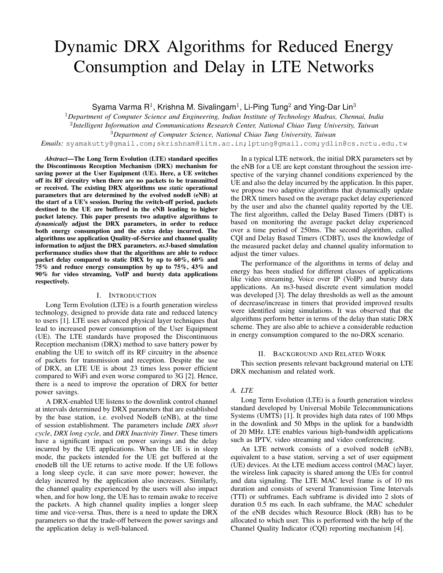# Dynamic DRX Algorithms for Reduced Energy Consumption and Delay in LTE Networks

Syama Varma R<sup>1</sup>, Krishna M. Sivalingam<sup>1</sup>, Li-Ping Tung<sup>2</sup> and Ying-Dar Lin<sup>3</sup>

<sup>1</sup>*Department of Computer Science and Engineering, Indian Institute of Technology Madras, Chennai, India* 2 *Intelligent Information and Communications Research Center, National Chiao Tung University, Taiwan* <sup>3</sup>*Department of Computer Science, National Chiao Tung University, Taiwan*

*Emails:* syamakutty@gmail.com;skrishnam@iitm.ac.in;lptung@gmail.com;ydlin@cs.nctu.edu.tw

*Abstract*—The Long Term Evolution (LTE) standard specifies the Discontinuous Reception Mechanism (DRX) mechanism for saving power at the User Equipment (UE). Here, a UE switches off its RF circuitry when there are no packets to be transmitted or received. The existing DRX algorithms use *static* operational parameters that are determined by the evolved nodeB (eNB) at the start of a UE's session. During the switch-off period, packets destined to the UE are buffered in the eNB leading to higher packet latency. This paper presents two adaptive algorithms to *dynamically* adjust the DRX parameters, in order to reduce both energy consumption and the extra delay incurred. The algorithms use application Quality-of-Service and channel quality information to adjust the DRX parameters. *ns3*-based simulation performance studies show that the algorithms are able to reduce packet delay compared to static DRX by up to 60%, 60% and 75% and reduce energy consumption by up to 75%, 43% and 90% for video streaming, VoIP and bursty data applications respectively.

### I. INTRODUCTION

Long Term Evolution (LTE) is a fourth generation wireless technology, designed to provide data rate and reduced latency to users [1]. LTE uses advanced physical layer techniques that lead to increased power consumption of the User Equipment (UE). The LTE standards have proposed the Discontinuous Reception mechanism (DRX) method to save battery power by enabling the UE to switch off its RF circuitry in the absence of packets for transmission and reception. Despite the use of DRX, an LTE UE is about 23 times less power efficient compared to WiFi and even worse compared to 3G [2]. Hence, there is a need to improve the operation of DRX for better power savings.

A DRX-enabled UE listens to the downlink control channel at intervals determined by DRX parameters that are established by the base station, i.e. evolved NodeB (eNB), at the time of session establishment. The parameters include *DRX short cycle*, *DRX long cycle*, and *DRX Inactivity Timer*. These timers have a significant impact on power savings and the delay incurred by the UE applications. When the UE is in sleep mode, the packets intended for the UE get buffered at the enodeB till the UE returns to active mode. If the UE follows a long sleep cycle, it can save more power; however, the delay incurred by the application also increases. Similarly, the channel quality experienced by the users will also impact when, and for how long, the UE has to remain awake to receive the packets. A high channel quality implies a longer sleep time and vice-versa. Thus, there is a need to update the DRX parameters so that the trade-off between the power savings and the application delay is well-balanced.

In a typical LTE network, the initial DRX parameters set by the eNB for a UE are kept constant throughout the session irrespective of the varying channel conditions experienced by the UE and also the delay incurred by the application. In this paper, we propose two adaptive algorithms that dynamically update the DRX timers based on the average packet delay experienced by the user and also the channel quality reported by the UE. The first algorithm, called the Delay Based Timers (DBT) is based on monitoring the average packet delay experienced over a time period of 250ms. The second algorithm, called CQI and Delay Based Timers (CDBT), uses the knowledge of the measured packet delay and channel quality information to adjust the timer values.

The performance of the algorithms in terms of delay and energy has been studied for different classes of applications like video streaming, Voice over IP (VoIP) and bursty data applications. An ns3-based discrete event simulation model was developed [3]. The delay thresholds as well as the amount of decrease/increase in timers that provided improved results were identified using simulations. It was observed that the algorithms perform better in terms of the delay than static DRX scheme. They are also able to achieve a considerable reduction in energy consumption compared to the no-DRX scenario.

# II. BACKGROUND AND RELATED WORK

This section presents relevant background material on LTE DRX mechanism and related work.

# *A. LTE*

Long Term Evolution (LTE) is a fourth generation wireless standard developed by Universal Mobile Telecommunications Systems (UMTS) [1]. It provides high data rates of 100 Mbps in the downlink and 50 Mbps in the uplink for a bandwidth of 20 MHz. LTE enables various high-bandwidth applications such as IPTV, video streaming and video conferencing.

An LTE network consists of a evolved nodeB (eNB), equivalent to a base station, serving a set of user equipment (UE) devices. At the LTE medium access control (MAC) layer, the wireless link capacity is shared among the UEs for control and data signaling. The LTE MAC level frame is of 10 ms duration and consists of several Transmission Time Intervals (TTI) or subframes. Each subframe is divided into 2 slots of duration 0.5 ms each. In each subframe, the MAC scheduler of the eNB decides which Resource Block (RB) has to be allocated to which user. This is performed with the help of the Channel Quality Indicator (CQI) reporting mechanism [4].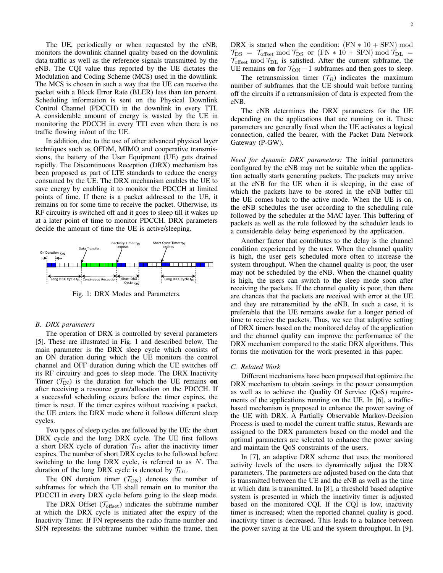The UE, periodically or when requested by the eNB, monitors the downlink channel quality based on the downlink data traffic as well as the reference signals transmitted by the eNB. The CQI value thus reported by the UE dictates the Modulation and Coding Scheme (MCS) used in the downlink. The MCS is chosen in such a way that the UE can receive the packet with a Block Error Rate (BLER) less than ten percent. Scheduling information is sent on the Physical Downlink Control Channel (PDCCH) in the downlink in every TTI. A considerable amount of energy is wasted by the UE in monitoring the PDCCH in every TTI even when there is no traffic flowing in/out of the UE.

In addition, due to the use of other advanced physical layer techniques such as OFDM, MIMO and cooperative transmissions, the battery of the User Equipment (UE) gets drained rapidly. The Discontinuous Reception (DRX) mechanism has been proposed as part of LTE standards to reduce the energy consumed by the UE. The DRX mechanism enables the UE to save energy by enabling it to monitor the PDCCH at limited points of time. If there is a packet addressed to the UE, it remains on for some time to receive the packet. Otherwise, its RF circuitry is switched off and it goes to sleep till it wakes up at a later point of time to monitor PDCCH. DRX parameters decide the amount of time the UE is active/sleeping.



Fig. 1: DRX Modes and Parameters.

# *B. DRX parameters*

The operation of DRX is controlled by several parameters [5]. These are illustrated in Fig. 1 and described below. The main parameter is the DRX sleep cycle which consists of an ON duration during which the UE monitors the control channel and OFF duration during which the UE switches off its RF circuitry and goes to sleep mode. The DRX Inactivity Timer  $(\mathcal{T}_{IN})$  is the duration for which the UE remains on after receiving a resource grant/allocation on the PDCCH. If a successful scheduling occurs before the timer expires, the timer is reset. If the timer expires without receiving a packet, the UE enters the DRX mode where it follows different sleep cycles.

Two types of sleep cycles are followed by the UE: the short DRX cycle and the long DRX cycle. The UE first follows a short DRX cycle of duration  $\mathcal{T}_{DS}$  after the inactivity timer expires. The number of short DRX cycles to be followed before switching to the long DRX cycle, is referred to as  $N$ . The duration of the long DRX cycle is denoted by  $\mathcal{T}_{\text{DL}}$ .

The ON duration timer  $(\mathcal{T}_{ON})$  denotes the number of subframes for which the UE shall remain on to monitor the PDCCH in every DRX cycle before going to the sleep mode.

The DRX Offset ( $\mathcal{T}_{\text{offset}}$ ) indicates the subframe number at which the DRX cycle is initiated after the expiry of the Inactivity Timer. If FN represents the radio frame number and SFN represents the subframe number within the frame, then

The retransmission timer  $(T_R)$  indicates the maximum number of subframes that the UE should wait before turning off the circuits if a retransmission of data is expected from the eNB.

The eNB determines the DRX parameters for the UE depending on the applications that are running on it. These parameters are generally fixed when the UE activates a logical connection, called the bearer, with the Packet Data Network Gateway (P-GW).

*Need for dynamic DRX parameters:* The initial parameters configured by the eNB may not be suitable when the application actually starts generating packets. The packets may arrive at the eNB for the UE when it is sleeping, in the case of which the packets have to be stored in the eNB buffer till the UE comes back to the active mode. When the UE is on, the eNB schedules the user according to the scheduling rule followed by the scheduler at the MAC layer. This buffering of packets as well as the rule followed by the scheduler leads to a considerable delay being experienced by the application.

Another factor that contributes to the delay is the channel condition experienced by the user. When the channel quality is high, the user gets scheduled more often to increase the system throughput. When the channel quality is poor, the user may not be scheduled by the eNB. When the channel quality is high, the users can switch to the sleep mode soon after receiving the packets. If the channel quality is poor, then there are chances that the packets are received with error at the UE and they are retransmitted by the eNB. In such a case, it is preferable that the UE remains awake for a longer period of time to receive the packets. Thus, we see that adaptive setting of DRX timers based on the monitored delay of the application and the channel quality can improve the performance of the DRX mechanism compared to the static DRX algorithms. This forms the motivation for the work presented in this paper.

#### *C. Related Work*

Different mechanisms have been proposed that optimize the DRX mechanism to obtain savings in the power consumption as well as to achieve the Quality Of Service (QoS) requirements of the applications running on the UE. In [6], a trafficbased mechanism is proposed to enhance the power saving of the UE with DRX. A Partially Observable Markov-Decision Process is used to model the current traffic status. Rewards are assigned to the DRX parameters based on the model and the optimal parameters are selected to enhance the power saving and maintain the QoS constraints of the users.

In [7], an adaptive DRX scheme that uses the monitored activity levels of the users to dynamically adjust the DRX parameters. The parameters are adjusted based on the data that is transmitted between the UE and the eNB as well as the time at which data is transmitted. In [8], a threshold based adaptive system is presented in which the inactivity timer is adjusted based on the monitored CQI. If the CQI is low, inactivity timer is increased; when the reported channel quality is good, inactivity timer is decreased. This leads to a balance between the power saving at the UE and the system throughput. In [9],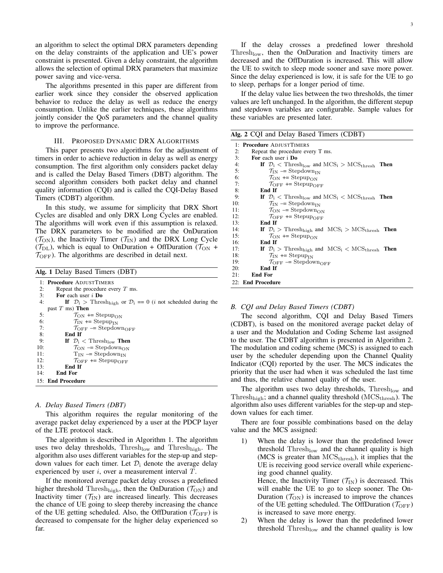an algorithm to select the optimal DRX parameters depending on the delay constraints of the application and UE's power constraint is presented. Given a delay constraint, the algorithm allows the selection of optimal DRX parameters that maximize power saving and vice-versa.

The algorithms presented in this paper are different from earlier work since they consider the observed application behavior to reduce the delay as well as reduce the energy consumption. Unlike the earlier techniques, these algorithms jointly consider the QoS parameters and the channel quality to improve the performance.

## III. PROPOSED DYNAMIC DRX ALGORITHMS

This paper presents two algorithms for the adjustment of timers in order to achieve reduction in delay as well as energy consumption. The first algorithm only considers packet delay and is called the Delay Based Timers (DBT) algorithm. The second algorithm considers both packet delay and channel quality information (CQI) and is called the CQI-Delay Based Timers (CDBT) algorithm.

In this study, we assume for simplicity that DRX Short Cycles are disabled and only DRX Long Cycles are enabled. The algorithms will work even if this assumption is relaxed. The DRX parameters to be modified are the OnDuration  $(\mathcal{T}_{\text{ON}})$ , the Inactivity Timer  $(\mathcal{T}_{\text{IN}})$  and the DRX Long Cycle  $(\mathcal{T}_{\text{DL}})$ , which is equal to OnDuration + OffDuration  $(\mathcal{T}_{\text{ON}} +$  $\mathcal{T}_{\text{OFF}}$ ). The algorithms are described in detail next.

| Alg. 1 Delay Based Timers (DBT)                                                                               |
|---------------------------------------------------------------------------------------------------------------|
| 1: <b>Procedure</b> ADJUSTTIMERS                                                                              |
| 2:<br>Repeat the procedure every $T$ ms.                                                                      |
| 3:<br>For each user $i$ Do                                                                                    |
| 4:<br>If $\mathcal{D}_i$ > Thresh <sub>high</sub> or $\mathcal{D}_i$ == 0 ( <i>i</i> not scheduled during the |
| past $T$ ms) Then                                                                                             |
| 5:<br>$\mathcal{T}_{ON}$ += Stepup <sub>ON</sub>                                                              |
| 6:<br>$\mathcal{T}_{IN}$ += Stepup <sub>IN</sub>                                                              |
| 7:<br>$\mathcal{T}_{\text{OFF}}$ = Stepdown <sub>OFF</sub>                                                    |
| 8:<br>End If                                                                                                  |
| 9:<br>If $\mathcal{D}_i$ < Thresh <sub>low</sub> Then                                                         |
| 10:<br>$\mathcal{T}_{ON}$ -= Stepdown <sub>ON</sub>                                                           |
| $T_{IN}$ = Stepdown <sub>IN</sub><br>11:                                                                      |
| $\mathcal{T}_{\text{OFF}}$ += Stepup <sub>OFF</sub><br>12:                                                    |
| End If<br>13:                                                                                                 |
| <b>End For</b><br>14:                                                                                         |
| 15: End Procedure                                                                                             |

#### *A. Delay Based Timers (DBT)*

This algorithm requires the regular monitoring of the average packet delay experienced by a user at the PDCP layer of the LTE protocol stack.

The algorithm is described in Algorithm 1. The algorithm uses two delay thresholds,  $Thresh_{low}$  and  $Thresh_{high}$ . The algorithm also uses different variables for the step-up and stepdown values for each timer. Let  $\mathcal{D}_i$  denote the average delay experienced by user i, over a measurement interval  $T$ .

If the monitored average packet delay crosses a predefined higher threshold Thresh<sub>high</sub>, then the OnDuration ( $\mathcal{T}_{ON}$ ) and Inactivity timer  $(T_{\text{IN}})$  are increased linearly. This decreases the chance of UE going to sleep thereby increasing the chance of the UE getting scheduled. Also, the OffDuration ( $\mathcal{T}_{\text{OFF}}$ ) is decreased to compensate for the higher delay experienced so far.

If the delay value lies between the two thresholds, the timer values are left unchanged. In the algorithm, the different stepup and stepdown variables are configurable. Sample values for these variables are presented later.

Alg. 2 CQI and Delay Based Timers (CDBT)

| 1:<br><b>Procedure</b> ADJUSTTIMERS                                                                |  |  |  |  |
|----------------------------------------------------------------------------------------------------|--|--|--|--|
| Repeat the procedure every T ms.<br>2:                                                             |  |  |  |  |
| 3:<br>For each user i Do                                                                           |  |  |  |  |
| If $\mathcal{D}_i$ < Thresh <sub>low</sub> and MCS <sub>i</sub> > MCS <sub>thresh</sub> Then<br>4: |  |  |  |  |
| 5:<br>$\mathcal{T}_{IN}$ -= Stepdown <sub>IN</sub>                                                 |  |  |  |  |
| 6:<br>$\mathcal{T}_{ON}$ += Stepup <sub>ON</sub>                                                   |  |  |  |  |
| 7:<br>$\mathcal{T}_{\text{OFF}}$ += Stepup <sub>OFF</sub>                                          |  |  |  |  |
| 8:<br>End If                                                                                       |  |  |  |  |
| 9:<br>If $\mathcal{D}_i$ < Thresh <sub>low</sub> and MCS <sub>i</sub> < MCS <sub>thresh</sub> Then |  |  |  |  |
| 10:<br>$\mathcal{T}_{\text{IN}}$ = Stepdown <sub>IN</sub>                                          |  |  |  |  |
| $\mathcal{T}_{\text{ON}}$ = Stepdown <sub>ON</sub><br>11:                                          |  |  |  |  |
| 12:<br>$\mathcal{T}_{\text{OFF}}$ += Stepup <sub>OFF</sub>                                         |  |  |  |  |
| 13:<br>End If                                                                                      |  |  |  |  |
| If $\mathcal{D}_i$ > Thresh <sub>high</sub> and $MCS_i > MCS_{thresh}$<br>14:<br>Then              |  |  |  |  |
| 15:<br>$\mathcal{T}_{ON}$ += Stepup <sub>ON</sub>                                                  |  |  |  |  |
| 16:<br>End If                                                                                      |  |  |  |  |
| If $\mathcal{D}_i$ > Thresh <sub>high</sub> and $MCS_i < MCS_{thresh}$<br>17:<br>Then              |  |  |  |  |
| 18:<br>$\mathcal{T}_{IN}$ += Stepup <sub>IN</sub>                                                  |  |  |  |  |
| 19:<br>$\mathcal{T}_{\text{OFF}}$ = Stepdown <sub>OFF</sub>                                        |  |  |  |  |
| End If<br>20:                                                                                      |  |  |  |  |
| <b>End For</b><br>21:                                                                              |  |  |  |  |
| 22: End Procedure                                                                                  |  |  |  |  |

### *B. CQI and Delay Based Timers (CDBT)*

The second algorithm, CQI and Delay Based Timers (CDBT), is based on the monitored average packet delay of a user and the Modulation and Coding Scheme last assigned to the user. The CDBT algorithm is presented in Algorithm 2. The modulation and coding scheme (MCS) is assigned to each user by the scheduler depending upon the Channel Quality Indicator (CQI) reported by the user. The MCS indicates the priority that the user had when it was scheduled the last time and thus, the relative channel quality of the user.

The algorithm uses two delay thresholds,  $Thresh_{low}$  and Thresh<sub>high</sub>; and a channel quality threshold ( $MCS<sub>thresh</sub>$ ). The algorithm also uses different variables for the step-up and stepdown values for each timer.

There are four possible combinations based on the delay value and the MCS assigned:

1) When the delay is lower than the predefined lower threshold  $Thresh_{low}$  and the channel quality is high (MCS is greater than  $MCS<sub>thresh</sub>$ ), it implies that the UE is receiving good service overall while experiencing good channel quality.

Hence, the Inactivity Timer  $(\mathcal{T}_{IN})$  is decreased. This will enable the UE to go to sleep sooner. The On-Duration  $(\mathcal{T}_{ON})$  is increased to improve the chances of the UE getting scheduled. The OffDuration ( $\mathcal{T}_{\text{OFF}}$ ) is increased to save more energy.

2) When the delay is lower than the predefined lower threshold  $Thresh_{low}$  and the channel quality is low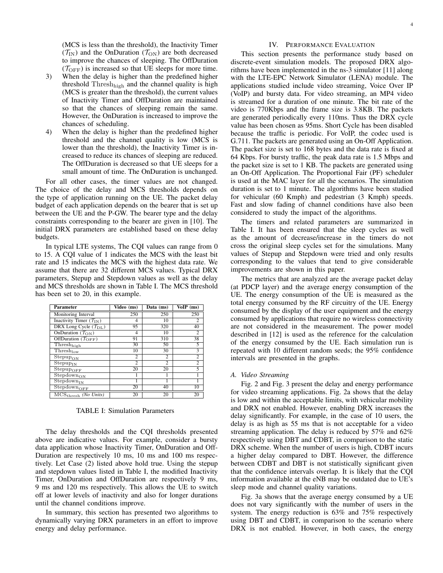(MCS is less than the threshold), the Inactivity Timer  $(\mathcal{T}_{\text{IN}})$  and the OnDuration  $(\mathcal{T}_{\text{ON}})$  are both decreased to improve the chances of sleeping. The OffDuration  $(\mathcal{T}_{\text{OFF}})$  is increased so that UE sleeps for more time.

- 3) When the delay is higher than the predefined higher threshold  $Thresh_{high}$  and the channel quality is high (MCS is greater than the threshold), the current values of Inactivity Timer and OffDuration are maintained so that the chances of sleeping remain the same. However, the OnDuration is increased to improve the chances of scheduling.
- 4) When the delay is higher than the predefined higher threshold and the channel quality is low (MCS is lower than the threshold), the Inactivity Timer is increased to reduce its chances of sleeping are reduced. The OffDuration is decreased so that UE sleeps for a small amount of time. The OnDuration is unchanged.

For all other cases, the timer values are not changed. The choice of the delay and MCS thresholds depends on the type of application running on the UE. The packet delay budget of each application depends on the bearer that is set up between the UE and the P-GW. The bearer type and the delay constraints corresponding to the bearer are given in [10]. The initial DRX parameters are established based on these delay budgets.

In typical LTE systems, The CQI values can range from 0 to 15. A CQI value of 1 indicates the MCS with the least bit rate and 15 indicates the MCS with the highest data rate. We assume that there are 32 different MCS values. Typical DRX parameters, Stepup and Stepdown values as well as the delay and MCS thresholds are shown in Table I. The MCS threshold has been set to 20, in this example.

| Parameter                                  | Video (ms)     | Data (ms)      | $VoIP$ (ms)    |
|--------------------------------------------|----------------|----------------|----------------|
| Monitoring Interval                        | 250            | 250            | 250            |
| Inactivity Timer $(\mathcal{T}_{IN})$      | 4              | 10             | 2              |
| DRX Long Cycle $(\mathcal{T}_{\text{DL}})$ | 95             | 320            | 40             |
| OnDuration $(\mathcal{T}_{\text{ON}})$     | 4              | 10             | $\overline{2}$ |
| OffDuration $(\mathcal{T}_{\text{OFF}})$   | 91             | 310            | 38             |
| Thresh <sub>high</sub>                     | 30             | 50             | 5              |
| $\overline{\rm Thresh}_{\rm low}$          | 10             | 30             | 3              |
| $Stepup_{ON}$                              | 2              | 2              | $\overline{2}$ |
| $Stepup_{IN}$                              | $\overline{c}$ | $\overline{c}$ | $\overline{c}$ |
| $\overline{\text{Stepup}}_{\text{OFF}}$    | 20             | 20             | 5              |
| $\overline{\text{Stepdown}}_{\text{ON}}$   |                |                |                |
| $\overline{\text{Stepdown}}_{\text{IN}}$   |                |                |                |
| $\overline{\text{Stepdown}}_{\text{OFF}}$  | 20             | 40             | 10             |
| $MCSthresh$ (No Units)                     | 20             | 20             | 20             |

TABLE I: Simulation Parameters

The delay thresholds and the CQI thresholds presented above are indicative values. For example, consider a bursty data application whose Inactivity Timer, OnDuration and Off-Duration are respectively 10 ms, 10 ms and 100 ms respectively. Let Case (2) listed above hold true. Using the stepup and stepdown values listed in Table I, the modified Inactivity Timer, OnDuration and OffDuration are respectively 9 ms, 9 ms and 120 ms respectively. This allows the UE to switch off at lower levels of inactivity and also for longer durations until the channel conditions improve.

In summary, this section has presented two algorithms to dynamically varying DRX parameters in an effort to improve energy and delay performance.

#### IV. PERFORMANCE EVALUATION

This section presents the performance study based on discrete-event simulation models. The proposed DRX algorithms have been implemented in the ns-3 simulator [11] along with the LTE-EPC Network Simulator (LENA) module. The applications studied include video streaming, Voice Over IP (VoIP) and bursty data. For video streaming, an MP4 video is streamed for a duration of one minute. The bit rate of the video is 770Kbps and the frame size is 3.8KB. The packets are generated periodically every 110ms. Thus the DRX cycle value has been chosen as 95ms. Short Cycle has been disabled because the traffic is periodic. For VoIP, the codec used is G.711. The packets are generated using an On-Off Application. The packet size is set to 168 bytes and the data rate is fixed at 64 Kbps. For bursty traffic, the peak data rate is 1.5 Mbps and the packet size is set to 1 KB. The packets are generated using an On-Off Application. The Proportional Fair (PF) scheduler is used at the MAC layer for all the scenarios. The simulation duration is set to 1 minute. The algorithms have been studied for vehicular (60 Kmph) and pedestrian (3 Kmph) speeds. Fast and slow fading of channel conditions have also been considered to study the impact of the algorithms.

The timers and related parameters are summarized in Table I. It has been ensured that the sleep cycles as well as the amount of decrease/increase in the timers do not cross the original sleep cycles set for the simulations. Many values of Stepup and Stepdown were tried and only results corresponding to the values that tend to give considerable improvements are shown in this paper.

The metrics that are analyzed are the average packet delay (at PDCP layer) and the average energy consumption of the UE. The energy consumption of the UE is measured as the total energy consumed by the RF circuitry of the UE. Energy consumed by the display of the user equipment and the energy consumed by applications that require no wireless connectivity are not considered in the measurement. The power model described in [12] is used as the reference for the calculation of the energy consumed by the UE. Each simulation run is repeated with 10 different random seeds; the 95% confidence intervals are presented in the graphs.

## *A. Video Streaming*

Fig. 2 and Fig. 3 present the delay and energy performance for video streaming applications. Fig. 2a shows that the delay is low and within the acceptable limits, with vehicular mobility and DRX not enabled. However, enabling DRX increases the delay significantly. For example, in the case of 10 users, the delay is as high as 55 ms that is not acceptable for a video streaming application. The delay is reduced by 57% and 62% respectively using DBT and CDBT, in comparison to the static DRX scheme. When the number of users is high, CDBT incurs a higher delay compared to DBT. However, the difference between CDBT and DBT is not statistically significant given that the confidence intervals overlap. It is likely that the CQI information available at the eNB may be outdated due to UE's sleep mode and channel quality variations.

Fig. 3a shows that the average energy consumed by a UE does not vary significantly with the number of users in the system. The energy reduction is 63% and 75% respectively using DBT and CDBT, in comparison to the scenario where DRX is not enabled. However, in both cases, the energy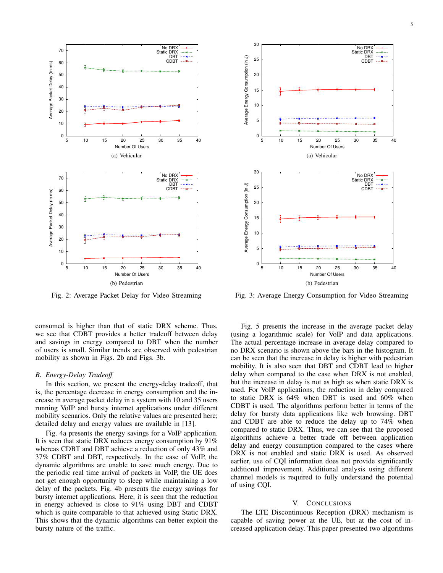

Fig. 2: Average Packet Delay for Video Streaming

consumed is higher than that of static DRX scheme. Thus, we see that CDBT provides a better tradeoff between delay and savings in energy compared to DBT when the number of users is small. Similar trends are observed with pedestrian mobility as shown in Figs. 2b and Figs. 3b.

## *B. Energy-Delay Tradeoff*

In this section, we present the energy-delay tradeoff, that is, the percentage decrease in energy consumption and the increase in average packet delay in a system with 10 and 35 users running VoIP and bursty internet applications under different mobility scenarios. Only the relative values are presented here; detailed delay and energy values are available in [13].

Fig. 4a presents the energy savings for a VoIP application. It is seen that static DRX reduces energy consumption by 91% whereas CDBT and DBT achieve a reduction of only 43% and 37% CDBT and DBT, respectively. In the case of VoIP, the dynamic algorithms are unable to save much energy. Due to the periodic real time arrival of packets in VoIP, the UE does not get enough opportunity to sleep while maintaining a low delay of the packets. Fig. 4b presents the energy savings for bursty internet applications. Here, it is seen that the reduction in energy achieved is close to 91% using DBT and CDBT which is quite comparable to that achieved using Static DRX. This shows that the dynamic algorithms can better exploit the bursty nature of the traffic.



Fig. 3: Average Energy Consumption for Video Streaming

Fig. 5 presents the increase in the average packet delay (using a logarithmic scale) for VoIP and data applications. The actual percentage increase in average delay compared to no DRX scenario is shown above the bars in the histogram. It can be seen that the increase in delay is higher with pedestrian mobility. It is also seen that DBT and CDBT lead to higher delay when compared to the case when DRX is not enabled, but the increase in delay is not as high as when static DRX is used. For VoIP applications, the reduction in delay compared to static DRX is 64% when DBT is used and 60% when CDBT is used. The algorithms perform better in terms of the delay for bursty data applications like web browsing. DBT and CDBT are able to reduce the delay up to 74% when compared to static DRX. Thus, we can see that the proposed algorithms achieve a better trade off between application delay and energy consumption compared to the cases where DRX is not enabled and static DRX is used. As observed earlier, use of CQI information does not provide significantly additional improvement. Additional analysis using different channel models is required to fully understand the potential of using CQI.

# V. CONCLUSIONS

The LTE Discontinuous Reception (DRX) mechanism is capable of saving power at the UE, but at the cost of increased application delay. This paper presented two algorithms